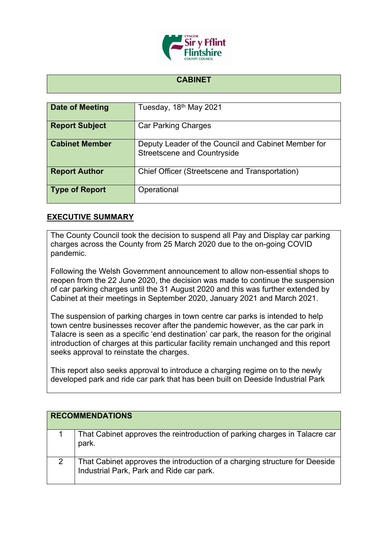

## **CABINET**

| Date of Meeting       | Tuesday, 18th May 2021                                                                    |
|-----------------------|-------------------------------------------------------------------------------------------|
| <b>Report Subject</b> | <b>Car Parking Charges</b>                                                                |
| <b>Cabinet Member</b> | Deputy Leader of the Council and Cabinet Member for<br><b>Streetscene and Countryside</b> |
| <b>Report Author</b>  | Chief Officer (Streetscene and Transportation)                                            |
| <b>Type of Report</b> | Operational                                                                               |

## **EXECUTIVE SUMMARY**

The County Council took the decision to suspend all Pay and Display car parking charges across the County from 25 March 2020 due to the on-going COVID pandemic.

Following the Welsh Government announcement to allow non-essential shops to reopen from the 22 June 2020, the decision was made to continue the suspension of car parking charges until the 31 August 2020 and this was further extended by Cabinet at their meetings in September 2020, January 2021 and March 2021.

The suspension of parking charges in town centre car parks is intended to help town centre businesses recover after the pandemic however, as the car park in Talacre is seen as a specific 'end destination' car park, the reason for the original introduction of charges at this particular facility remain unchanged and this report seeks approval to reinstate the charges.

This report also seeks approval to introduce a charging regime on to the newly developed park and ride car park that has been built on Deeside Industrial Park

| <b>RECOMMENDATIONS</b>                                                                                                 |
|------------------------------------------------------------------------------------------------------------------------|
| That Cabinet approves the reintroduction of parking charges in Talacre car<br>park.                                    |
| That Cabinet approves the introduction of a charging structure for Deeside<br>Industrial Park, Park and Ride car park. |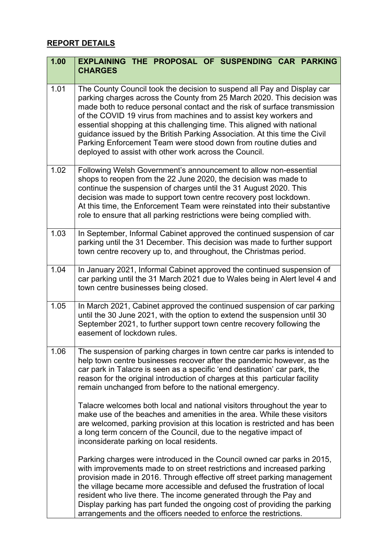## **REPORT DETAILS**

| 1.00 | <b>EXPLAINING THE PROPOSAL OF SUSPENDING CAR PARKING</b><br><b>CHARGES</b>                                                                                                                                                                                                                                                                                                                                                                                                                                                                                                                  |
|------|---------------------------------------------------------------------------------------------------------------------------------------------------------------------------------------------------------------------------------------------------------------------------------------------------------------------------------------------------------------------------------------------------------------------------------------------------------------------------------------------------------------------------------------------------------------------------------------------|
| 1.01 | The County Council took the decision to suspend all Pay and Display car<br>parking charges across the County from 25 March 2020. This decision was<br>made both to reduce personal contact and the risk of surface transmission<br>of the COVID 19 virus from machines and to assist key workers and<br>essential shopping at this challenging time. This aligned with national<br>guidance issued by the British Parking Association. At this time the Civil<br>Parking Enforcement Team were stood down from routine duties and<br>deployed to assist with other work across the Council. |
| 1.02 | Following Welsh Government's announcement to allow non-essential<br>shops to reopen from the 22 June 2020, the decision was made to<br>continue the suspension of charges until the 31 August 2020. This<br>decision was made to support town centre recovery post lockdown.<br>At this time, the Enforcement Team were reinstated into their substantive<br>role to ensure that all parking restrictions were being complied with.                                                                                                                                                         |
| 1.03 | In September, Informal Cabinet approved the continued suspension of car<br>parking until the 31 December. This decision was made to further support<br>town centre recovery up to, and throughout, the Christmas period.                                                                                                                                                                                                                                                                                                                                                                    |
| 1.04 | In January 2021, Informal Cabinet approved the continued suspension of<br>car parking until the 31 March 2021 due to Wales being in Alert level 4 and<br>town centre businesses being closed.                                                                                                                                                                                                                                                                                                                                                                                               |
| 1.05 | In March 2021, Cabinet approved the continued suspension of car parking<br>until the 30 June 2021, with the option to extend the suspension until 30<br>September 2021, to further support town centre recovery following the<br>easement of lockdown rules.                                                                                                                                                                                                                                                                                                                                |
| 1.06 | The suspension of parking charges in town centre car parks is intended to<br>help town centre businesses recover after the pandemic however, as the<br>car park in Talacre is seen as a specific 'end destination' car park, the<br>reason for the original introduction of charges at this particular facility<br>remain unchanged from before to the national emergency.                                                                                                                                                                                                                  |
|      | Talacre welcomes both local and national visitors throughout the year to<br>make use of the beaches and amenities in the area. While these visitors<br>are welcomed, parking provision at this location is restricted and has been<br>a long term concern of the Council, due to the negative impact of<br>inconsiderate parking on local residents.                                                                                                                                                                                                                                        |
|      | Parking charges were introduced in the Council owned car parks in 2015,<br>with improvements made to on street restrictions and increased parking<br>provision made in 2016. Through effective off street parking management<br>the village became more accessible and defused the frustration of local<br>resident who live there. The income generated through the Pay and<br>Display parking has part funded the ongoing cost of providing the parking<br>arrangements and the officers needed to enforce the restrictions.                                                              |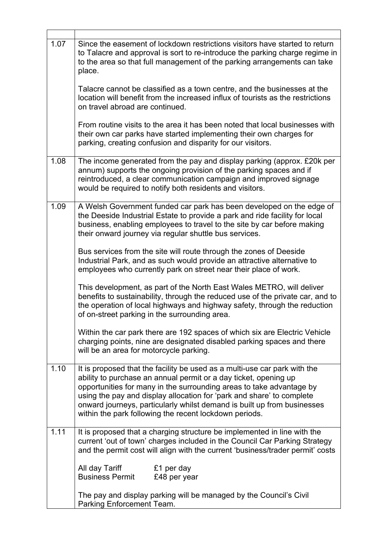| 1.07 | Since the easement of lockdown restrictions visitors have started to return<br>to Talacre and approval is sort to re-introduce the parking charge regime in<br>to the area so that full management of the parking arrangements can take<br>place.                                                                                                                                                                                   |  |  |  |  |  |
|------|-------------------------------------------------------------------------------------------------------------------------------------------------------------------------------------------------------------------------------------------------------------------------------------------------------------------------------------------------------------------------------------------------------------------------------------|--|--|--|--|--|
|      | Talacre cannot be classified as a town centre, and the businesses at the<br>location will benefit from the increased influx of tourists as the restrictions<br>on travel abroad are continued.                                                                                                                                                                                                                                      |  |  |  |  |  |
|      | From routine visits to the area it has been noted that local businesses with<br>their own car parks have started implementing their own charges for<br>parking, creating confusion and disparity for our visitors.                                                                                                                                                                                                                  |  |  |  |  |  |
| 1.08 | The income generated from the pay and display parking (approx. £20k per<br>annum) supports the ongoing provision of the parking spaces and if<br>reintroduced, a clear communication campaign and improved signage<br>would be required to notify both residents and visitors.                                                                                                                                                      |  |  |  |  |  |
| 1.09 | A Welsh Government funded car park has been developed on the edge of<br>the Deeside Industrial Estate to provide a park and ride facility for local<br>business, enabling employees to travel to the site by car before making<br>their onward journey via regular shuttle bus services.                                                                                                                                            |  |  |  |  |  |
|      | Bus services from the site will route through the zones of Deeside<br>Industrial Park, and as such would provide an attractive alternative to<br>employees who currently park on street near their place of work.                                                                                                                                                                                                                   |  |  |  |  |  |
|      | This development, as part of the North East Wales METRO, will deliver<br>benefits to sustainability, through the reduced use of the private car, and to<br>the operation of local highways and highway safety, through the reduction<br>of on-street parking in the surrounding area.                                                                                                                                               |  |  |  |  |  |
|      | Within the car park there are 192 spaces of which six are Electric Vehicle<br>charging points, nine are designated disabled parking spaces and there<br>will be an area for motorcycle parking.                                                                                                                                                                                                                                     |  |  |  |  |  |
| 1.10 | It is proposed that the facility be used as a multi-use car park with the<br>ability to purchase an annual permit or a day ticket, opening up<br>opportunities for many in the surrounding areas to take advantage by<br>using the pay and display allocation for 'park and share' to complete<br>onward journeys, particularly whilst demand is built up from businesses<br>within the park following the recent lockdown periods. |  |  |  |  |  |
| 1.11 | It is proposed that a charging structure be implemented in line with the<br>current 'out of town' charges included in the Council Car Parking Strategy<br>and the permit cost will align with the current 'business/trader permit' costs                                                                                                                                                                                            |  |  |  |  |  |
|      | All day Tariff<br>£1 per day<br><b>Business Permit</b><br>£48 per year                                                                                                                                                                                                                                                                                                                                                              |  |  |  |  |  |
|      | The pay and display parking will be managed by the Council's Civil<br>Parking Enforcement Team.                                                                                                                                                                                                                                                                                                                                     |  |  |  |  |  |